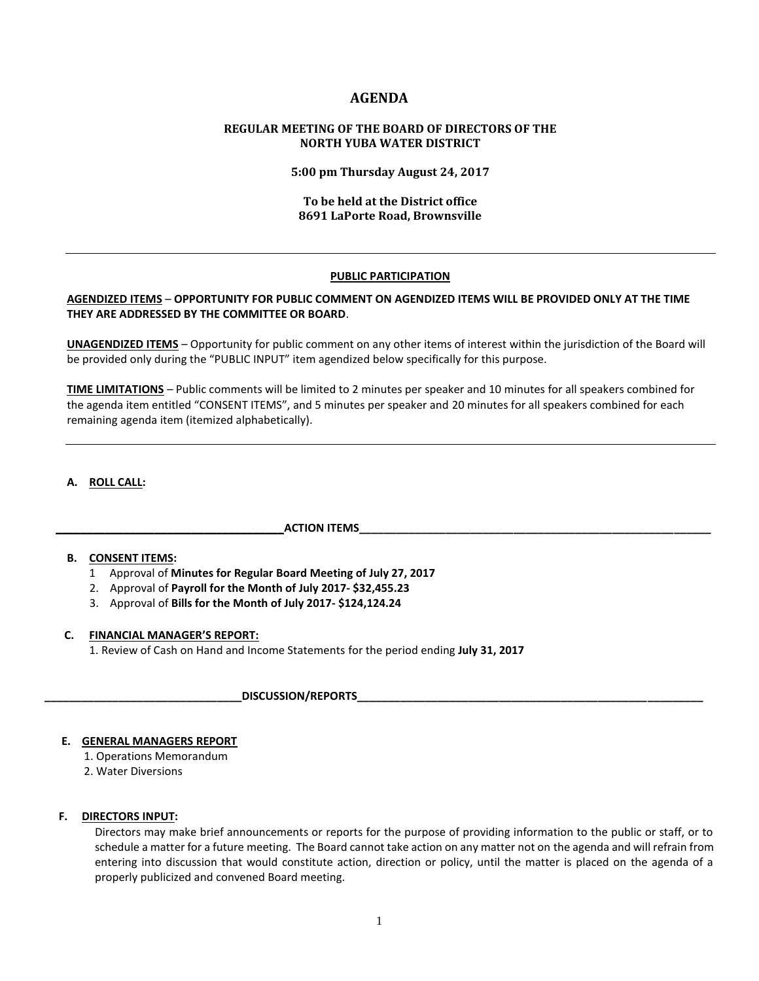# **AGENDA**

# **REGULAR MEETING OF THE BOARD OF DIRECTORS OF THE NORTH YUBA WATER DISTRICT**

**5:00 pm Thursday August 24, 2017**

# **To be held at the District office 8691 LaPorte Road, Brownsville**

#### **PUBLIC PARTICIPATION**

# **AGENDIZED ITEMS** – **OPPORTUNITY FOR PUBLIC COMMENT ON AGENDIZED ITEMS WILL BE PROVIDED ONLY AT THE TIME THEY ARE ADDRESSED BY THE COMMITTEE OR BOARD**.

**UNAGENDIZED ITEMS** – Opportunity for public comment on any other items of interest within the jurisdiction of the Board will be provided only during the "PUBLIC INPUT" item agendized below specifically for this purpose.

**TIME LIMITATIONS** – Public comments will be limited to 2 minutes per speaker and 10 minutes for all speakers combined for the agenda item entitled "CONSENT ITEMS", and 5 minutes per speaker and 20 minutes for all speakers combined for each remaining agenda item (itemized alphabetically).

# **A. ROLL CALL:**

#### **\_\_\_\_\_\_\_\_\_\_\_\_\_\_\_\_\_\_\_\_\_\_\_\_\_\_\_\_\_\_\_\_\_\_\_\_\_ACTION ITEMS\_\_\_\_\_\_\_\_\_\_\_\_\_\_\_\_\_\_\_\_\_\_\_\_\_\_\_\_\_\_\_\_\_\_\_\_\_\_\_\_\_\_\_\_\_\_\_\_\_\_\_\_\_\_\_\_\_**

#### **B. CONSENT ITEMS:**

- 1 Approval of **Minutes for Regular Board Meeting of July 27, 2017**
- 2. Approval of **Payroll for the Month of July 2017- \$32,455.23**
- 3. Approval of **Bills for the Month of July 2017- \$124,124.24**

#### **C. FINANCIAL MANAGER'S REPORT:**

1. Review of Cash on Hand and Income Statements for the period ending **July 31, 2017**

**\_\_\_\_\_\_\_\_\_\_\_\_\_\_\_\_\_\_\_\_\_\_\_\_\_\_\_\_\_\_\_\_DISCUSSION/REPORTS\_\_\_\_\_\_\_\_\_\_\_\_\_\_\_\_\_\_\_\_\_\_\_\_\_\_\_\_\_\_\_\_\_\_\_\_\_\_\_\_\_\_\_\_\_\_\_\_\_\_\_\_\_\_\_\_** 

#### **E. GENERAL MANAGERS REPORT**

- 1. Operations Memorandum
- 2. Water Diversions

# **F. DIRECTORS INPUT:**

Directors may make brief announcements or reports for the purpose of providing information to the public or staff, or to schedule a matter for a future meeting. The Board cannot take action on any matter not on the agenda and will refrain from entering into discussion that would constitute action, direction or policy, until the matter is placed on the agenda of a properly publicized and convened Board meeting.